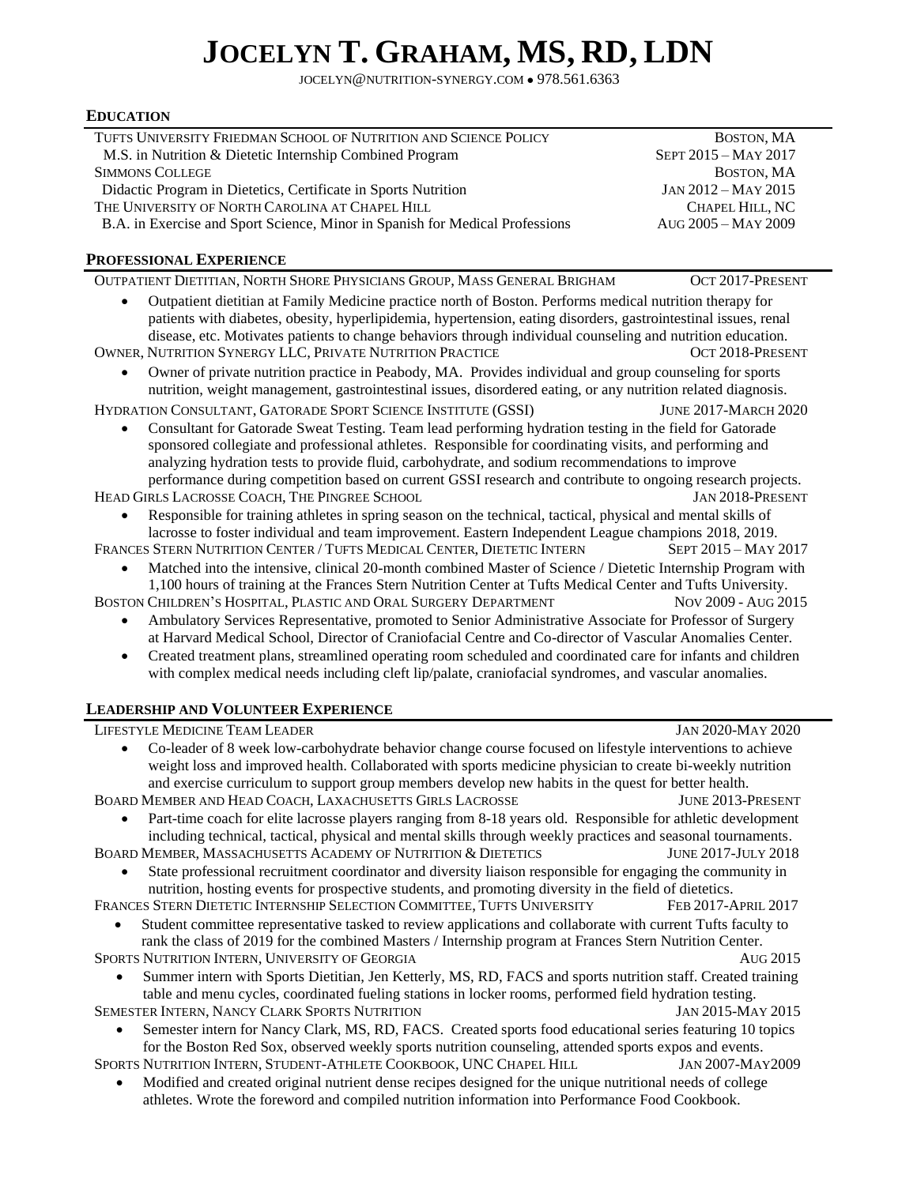# **JOCELYN T. GRAHAM, MS, RD, LDN**

JOCELYN@NUTRITION-SYNERGY.COM ● 978.561.6363

### **EDUCATION**

| TUFTS UNIVERSITY FRIEDMAN SCHOOL OF NUTRITION AND SCIENCE POLICY                                                                                                                                                                                                                                                                                                                                                           | BOSTON, MA                  |  |
|----------------------------------------------------------------------------------------------------------------------------------------------------------------------------------------------------------------------------------------------------------------------------------------------------------------------------------------------------------------------------------------------------------------------------|-----------------------------|--|
| M.S. in Nutrition & Dietetic Internship Combined Program                                                                                                                                                                                                                                                                                                                                                                   | SEPT 2015 - MAY 2017        |  |
| <b>SIMMONS COLLEGE</b>                                                                                                                                                                                                                                                                                                                                                                                                     | BOSTON, MA                  |  |
| Didactic Program in Dietetics, Certificate in Sports Nutrition                                                                                                                                                                                                                                                                                                                                                             | JAN 2012 - MAY 2015         |  |
| THE UNIVERSITY OF NORTH CAROLINA AT CHAPEL HILL                                                                                                                                                                                                                                                                                                                                                                            | CHAPEL HILL, NC             |  |
| B.A. in Exercise and Sport Science, Minor in Spanish for Medical Professions                                                                                                                                                                                                                                                                                                                                               | AUG 2005 - MAY 2009         |  |
| PROFESSIONAL EXPERIENCE                                                                                                                                                                                                                                                                                                                                                                                                    |                             |  |
| OUTPATIENT DIETITIAN, NORTH SHORE PHYSICIANS GROUP, MASS GENERAL BRIGHAM                                                                                                                                                                                                                                                                                                                                                   | OCT 2017-PRESENT            |  |
| Outpatient dietitian at Family Medicine practice north of Boston. Performs medical nutrition therapy for<br>patients with diabetes, obesity, hyperlipidemia, hypertension, eating disorders, gastrointestinal issues, renal<br>disease, etc. Motivates patients to change behaviors through individual counseling and nutrition education.<br>OWNER, NUTRITION SYNERGY LLC, PRIVATE NUTRITION PRACTICE<br>OCT 2018-PRESENT |                             |  |
| Owner of private nutrition practice in Peabody, MA. Provides individual and group counseling for sports<br>nutrition, weight management, gastrointestinal issues, disordered eating, or any nutrition related diagnosis.                                                                                                                                                                                                   |                             |  |
| HYDRATION CONSULTANT, GATORADE SPORT SCIENCE INSTITUTE (GSSI)                                                                                                                                                                                                                                                                                                                                                              | <b>JUNE 2017-MARCH 2020</b> |  |
| Consultant for Gatorade Sweat Testing. Team lead performing hydration testing in the field for Gatorade                                                                                                                                                                                                                                                                                                                    |                             |  |
| sponsored collegiate and professional athletes. Responsible for coordinating visits, and performing and                                                                                                                                                                                                                                                                                                                    |                             |  |
| analyzing hydration tests to provide fluid, carbohydrate, and sodium recommendations to improve                                                                                                                                                                                                                                                                                                                            |                             |  |
| performance during competition based on current GSSI research and contribute to ongoing research projects.                                                                                                                                                                                                                                                                                                                 |                             |  |
| HEAD GIRLS LACROSSE COACH, THE PINGREE SCHOOL                                                                                                                                                                                                                                                                                                                                                                              | JAN 2018-PRESENT            |  |
| Responsible for training athletes in spring season on the technical, tactical, physical and mental skills of<br>$\bullet$<br>lacrosse to foster individual and team improvement. Eastern Independent League champions 2018, 2019.                                                                                                                                                                                          |                             |  |
| FRANCES STERN NUTRITION CENTER / TUFTS MEDICAL CENTER, DIETETIC INTERN                                                                                                                                                                                                                                                                                                                                                     | SEPT 2015 - MAY 2017        |  |
| Matched into the intensive, clinical 20-month combined Master of Science / Dietetic Internship Program with<br>$\bullet$                                                                                                                                                                                                                                                                                                   |                             |  |
| 1,100 hours of training at the Frances Stern Nutrition Center at Tufts Medical Center and Tufts University.                                                                                                                                                                                                                                                                                                                |                             |  |
| BOSTON CHILDREN'S HOSPITAL, PLASTIC AND ORAL SURGERY DEPARTMENT                                                                                                                                                                                                                                                                                                                                                            | Nov 2009 - Aug 2015         |  |
| Ambulatory Services Representative, promoted to Senior Administrative Associate for Professor of Surgery                                                                                                                                                                                                                                                                                                                   |                             |  |
| at Harvard Medical School, Director of Craniofacial Centre and Co-director of Vascular Anomalies Center.                                                                                                                                                                                                                                                                                                                   |                             |  |
| Created treatment plans, streamlined operating room scheduled and coordinated care for infants and children<br>$\bullet$                                                                                                                                                                                                                                                                                                   |                             |  |
| with complex medical needs including cleft lip/palate, craniofacial syndromes, and vascular anomalies.                                                                                                                                                                                                                                                                                                                     |                             |  |
| <b>LEADERSHIP AND VOLUNTEER EXPERIENCE</b>                                                                                                                                                                                                                                                                                                                                                                                 |                             |  |
| LIFESTYLE MEDICINE TEAM LEADER                                                                                                                                                                                                                                                                                                                                                                                             | <b>JAN 2020-MAY 2020</b>    |  |
| Co-leader of 8 week low-carbohydrate behavior change course focused on lifestyle interventions to achieve<br>$\bullet$                                                                                                                                                                                                                                                                                                     |                             |  |
| weight loss and improved health. Collaborated with sports medicine physician to create bi-weekly nutrition                                                                                                                                                                                                                                                                                                                 |                             |  |
| and exercise curriculum to support group members develop new habits in the quest for better health.                                                                                                                                                                                                                                                                                                                        |                             |  |
| BOARD MEMBER AND HEAD COACH, LAXACHUSETTS GIRLS LACROSSE                                                                                                                                                                                                                                                                                                                                                                   | JUNE 2013-PRESENT           |  |
| Part-time coach for elite lacrosse players ranging from 8-18 years old. Responsible for athletic development                                                                                                                                                                                                                                                                                                               |                             |  |
| including technical, tactical, physical and mental skills through weekly practices and seasonal tournaments.<br>BOARD MEMBER, MASSACHUSETTS ACADEMY OF NUTRITION & DIETETICS                                                                                                                                                                                                                                               | <b>JUNE 2017-JULY 2018</b>  |  |
| State professional recruitment coordinator and diversity liaison responsible for engaging the community in                                                                                                                                                                                                                                                                                                                 |                             |  |
| nutrition, hosting events for prospective students, and promoting diversity in the field of dietetics.                                                                                                                                                                                                                                                                                                                     |                             |  |
| FRANCES STERN DIETETIC INTERNSHIP SELECTION COMMITTEE, TUFTS UNIVERSITY                                                                                                                                                                                                                                                                                                                                                    | FEB 2017-APRIL 2017         |  |
| Student committee representative tasked to review applications and collaborate with current Tufts faculty to                                                                                                                                                                                                                                                                                                               |                             |  |
| rank the class of 2019 for the combined Masters / Internship program at Frances Stern Nutrition Center.                                                                                                                                                                                                                                                                                                                    |                             |  |
| SPORTS NUTRITION INTERN, UNIVERSITY OF GEORGIA                                                                                                                                                                                                                                                                                                                                                                             | AUG 2015                    |  |
| Summer intern with Sports Dietitian, Jen Ketterly, MS, RD, FACS and sports nutrition staff. Created training                                                                                                                                                                                                                                                                                                               |                             |  |
| table and menu cycles, coordinated fueling stations in locker rooms, performed field hydration testing.                                                                                                                                                                                                                                                                                                                    |                             |  |
| SEMESTER INTERN, NANCY CLARK SPORTS NUTRITION                                                                                                                                                                                                                                                                                                                                                                              | JAN 2015-MAY 2015           |  |
| Semester intern for Nancy Clark, MS, RD, FACS. Created sports food educational series featuring 10 topics                                                                                                                                                                                                                                                                                                                  |                             |  |
| for the Boston Red Sox, observed weekly sports nutrition counseling, attended sports expos and events.                                                                                                                                                                                                                                                                                                                     |                             |  |
| SPORTS NUTRITION INTERN, STUDENT-ATHLETE COOKBOOK, UNC CHAPEL HILL                                                                                                                                                                                                                                                                                                                                                         | <b>JAN 2007-MAY2009</b>     |  |
| Modified and created original nutrient dense recipes designed for the unique nutritional needs of college<br>athletes. Wrote the foreword and compiled nutrition information into Performance Food Cookbook.                                                                                                                                                                                                               |                             |  |